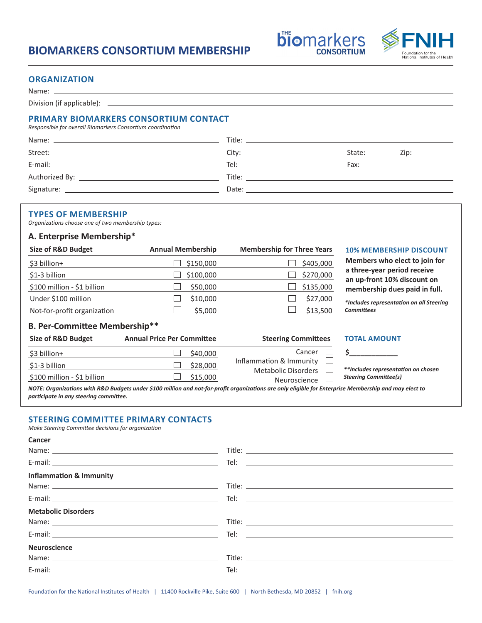# **BIOMARKERS CONSORTIUM MEMBERSHIP**



**biomarkers** 

**CONSORTIUM** 

## **ORGANIZATION**

Name: \_

Division (if applicable): \_

# **PRIMARY BIOMARKERS CONSORTIUM CONTACT**

*Responsible for overall Biomarkers Consortium coordination*

| Title: the contract of the contract of the contract of the contract of the contract of the contract of the contract of the contract of the contract of the contract of the contract of the contract of the contract of the con |                                                                                                                                                                                                                                |
|--------------------------------------------------------------------------------------------------------------------------------------------------------------------------------------------------------------------------------|--------------------------------------------------------------------------------------------------------------------------------------------------------------------------------------------------------------------------------|
| City: the contract of the contract of the contract of the contract of the contract of the contract of the contract of the contract of the contract of the contract of the contract of the contract of the contract of the cont | State:<br>Zip:____________                                                                                                                                                                                                     |
| Tel: the contract of the contract of the contract of the contract of the contract of the contract of the contract of the contract of the contract of the contract of the contract of the contract of the contract of the contr | Fax: The contract of the contract of the contract of the contract of the contract of the contract of the contract of the contract of the contract of the contract of the contract of the contract of the contract of the contr |
|                                                                                                                                                                                                                                |                                                                                                                                                                                                                                |
| Date: the contract of the contract of the contract of the contract of the contract of the contract of the contract of the contract of the contract of the contract of the contract of the contract of the contract of the cont |                                                                                                                                                                                                                                |
|                                                                                                                                                                                                                                |                                                                                                                                                                                                                                |

### **TYPES OF MEMBERSHIP**

*Organizations choose one of two membership types:*

### **A. Enterprise Membership\***

| <b>Size of R&amp;D Budget</b> | <b>Annual Membership</b> | <b>Membership for Three Years</b> |
|-------------------------------|--------------------------|-----------------------------------|
| \$3 billion+                  | \$150,000                | \$405,000                         |
| \$1-3 billion                 | \$100,000                | \$270,000                         |
| \$100 million - \$1 billion   | \$50,000                 | \$135,000                         |
| Under \$100 million           | \$10,000                 | \$27,000                          |
| Not-for-profit organization   | \$5,000                  | \$13,500                          |

#### **Size of R&D Budget Annual Membership Membership for Three Years 10% MEMBERSHIP DISCOUNT**

**3** Members who elect to join for **a three-year period receive an up-front 10% discount on membership dues paid in full.**

> *\*Includes representation on all Steering Committees*

## **B. Per-Committee Membership\*\***

| Size of R&D Budget                                                                                                                                                                                                             | <b>Annual Price Per Committee</b> | <b>Steering Committees</b>                            | <b>TOTAL AMOUNT</b>                 |  |  |  |
|--------------------------------------------------------------------------------------------------------------------------------------------------------------------------------------------------------------------------------|-----------------------------------|-------------------------------------------------------|-------------------------------------|--|--|--|
| \$3 billion+                                                                                                                                                                                                                   | \$40,000                          | Cancer                                                |                                     |  |  |  |
| \$1-3 billion                                                                                                                                                                                                                  | \$28,000                          | Inflammation & Immunity<br><b>Metabolic Disorders</b> | **Includes representation on chosen |  |  |  |
| \$100 million - \$1 billion                                                                                                                                                                                                    | \$15,000                          | Neuroscience                                          | <b>Steering Committee(s)</b>        |  |  |  |
| $\mu$ , and the contract of the contract of the contract of the contract of the contract of the contract of the contract of the contract of the contract of the contract of the contract of the contract of the contract of th |                                   |                                                       |                                     |  |  |  |

*NOTE: Organizations with R&D Budgets under \$100 million and not-for-profit organizations are only eligible for Enterprise Membership and may elect to participate in any steering committee.*

# **STEERING COMMITTEE PRIMARY CONTACTS**

*Make Steering Committee decisions for organization*

**Cancer**

| <b>Inflammation &amp; Immunity</b>                                                                                                                                                                                            |                                                                                                                                                                                                                               |
|-------------------------------------------------------------------------------------------------------------------------------------------------------------------------------------------------------------------------------|-------------------------------------------------------------------------------------------------------------------------------------------------------------------------------------------------------------------------------|
|                                                                                                                                                                                                                               |                                                                                                                                                                                                                               |
|                                                                                                                                                                                                                               |                                                                                                                                                                                                                               |
| <b>Metabolic Disorders</b>                                                                                                                                                                                                    |                                                                                                                                                                                                                               |
| Name: Name and the second contract of the second contract of the second contract of the second contract of the second contract of the second contract of the second contract of the second contract of the second contract of |                                                                                                                                                                                                                               |
|                                                                                                                                                                                                                               |                                                                                                                                                                                                                               |
| <b>Neuroscience</b>                                                                                                                                                                                                           |                                                                                                                                                                                                                               |
|                                                                                                                                                                                                                               |                                                                                                                                                                                                                               |
|                                                                                                                                                                                                                               | Tel: with the contract of the contract of the contract of the contract of the contract of the contract of the contract of the contract of the contract of the contract of the contract of the contract of the contract of the |